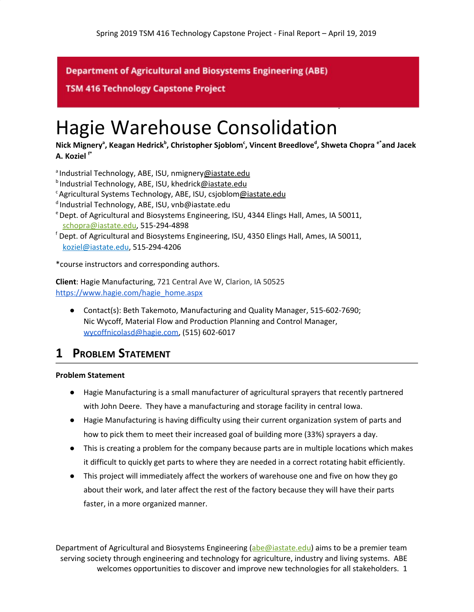**Department of Agricultural and Biosystems Engineering (ABE)** 

**TSM 416 Technology Capstone Project** 

# Hagie Warehouse Consolidation

**Nick Mignery<sup>a</sup> , Keagan Hedrick<sup>b</sup> , Christopher Sjoblom<sup>c</sup> , Vincent Breedlove<sup>d</sup> , Shweta Chopra e\*and Jacek A. Koziel f\***

- <sup>a</sup> Industrial Technology, ABE, ISU, nmignery[@iastate.edu](mailto:e-mail@iastate.edu)
- $b$ Industrial Technology, ABE, ISU, khedrick[@iastate.edu](mailto:e-mail@iastate.edu)
- <sup>c</sup> Agricultural Systems Technology, ABE, ISU, csjoblom[@iastate.edu](mailto:e-mail@iastate.edu)
- $d$ Industrial Technology, ABE, ISU, vnb@iastate.edu
- <sup>e</sup> Dept. of Agricultural and Biosystems Engineering, ISU, 4344 Elings Hall, Ames, IA 50011, [schopra@iastate.edu](mailto:schopra@iastate.edu), 515-294-4898
- f Dept. of Agricultural and Biosystems Engineering, ISU, 4350 Elings Hall, Ames, IA 50011, [koziel@iastate.edu](mailto:koziel@iastate.edu), 515-294-4206

\*course instructors and corresponding authors.

**Client**: Hagie Manufacturing, 721 Central Ave W, Clarion, IA 50525 [https://www.hagie.com/hagie\\_home.aspx](https://www.hagie.com/hagie_home.aspx)

● Contact(s): Beth Takemoto, Manufacturing and Quality Manager, 515-602-7690; Nic Wycoff, Material Flow and Production Planning and Control Manager, [wycoffnicolasd@hagie.com,](mailto:wycoffnicolasd@hagie.com) (515) 602-6017

## **1 PROBLEM STATEMENT**

#### **Problem Statement**

- Hagie Manufacturing is a small manufacturer of agricultural sprayers that recently partnered with John Deere. They have a manufacturing and storage facility in central Iowa.
- Hagie Manufacturing is having difficulty using their current organization system of parts and how to pick them to meet their increased goal of building more (33%) sprayers a day.
- This is creating a problem for the company because parts are in multiple locations which makes it difficult to quickly get parts to where they are needed in a correct rotating habit efficiently.
- This project will immediately affect the workers of warehouse one and five on how they go about their work, and later affect the rest of the factory because they will have their parts faster, in a more organized manner.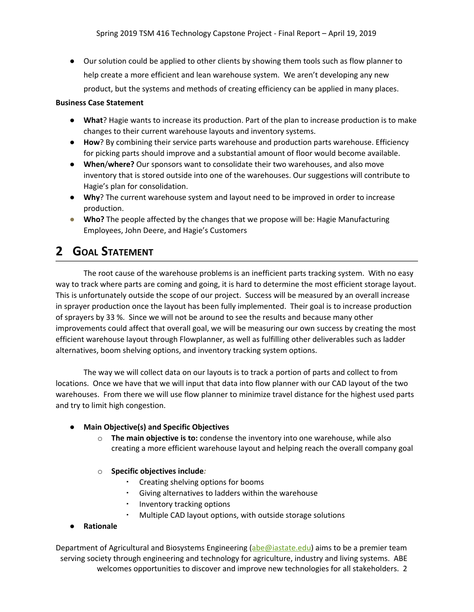● Our solution could be applied to other clients by showing them tools such as flow planner to help create a more efficient and lean warehouse system. We aren't developing any new product, but the systems and methods of creating efficiency can be applied in many places.

#### **Business Case Statement**

- **What**? Hagie wants to increase its production. Part of the plan to increase production is to make changes to their current warehouse layouts and inventory systems.
- **How**? By combining their service parts warehouse and production parts warehouse. Efficiency for picking parts should improve and a substantial amount of floor would become available.
- **When**/**where?** Our sponsors want to consolidate their two warehouses, and also move inventory that is stored outside into one of the warehouses. Our suggestions will contribute to Hagie's plan for consolidation.
- **Why**? The current warehouse system and layout need to be improved in order to increase production.
- **Who?** The people affected by the changes that we propose will be: Hagie Manufacturing Employees, John Deere, and Hagie's Customers

# **2 GOAL STATEMENT**

The root cause of the warehouse problems is an inefficient parts tracking system. With no easy way to track where parts are coming and going, it is hard to determine the most efficient storage layout. This is unfortunately outside the scope of our project. Success will be measured by an overall increase in sprayer production once the layout has been fully implemented. Their goal is to increase production of sprayers by 33 %. Since we will not be around to see the results and because many other improvements could affect that overall goal, we will be measuring our own success by creating the most efficient warehouse layout through Flowplanner, as well as fulfilling other deliverables such as ladder alternatives, boom shelving options, and inventory tracking system options.

The way we will collect data on our layouts is to track a portion of parts and collect to from locations. Once we have that we will input that data into flow planner with our CAD layout of the two warehouses. From there we will use flow planner to minimize travel distance for the highest used parts and try to limit high congestion.

#### **● Main Objective(s) and Specific Objectives**

- o **The main objective is to:** condense the inventory into one warehouse, while also creating a more efficient warehouse layout and helping reach the overall company goal
- o **Specific objectives include***:*
	- Creating shelving options for booms
	- Giving alternatives to ladders within the warehouse
	- Inventory tracking options
	- Multiple CAD layout options, with outside storage solutions
- **● Rationale**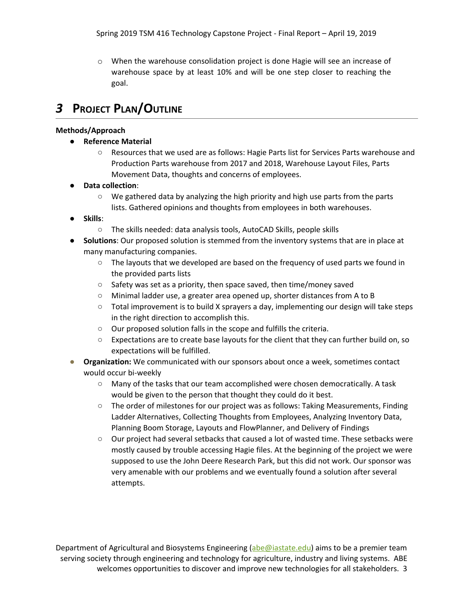$\circ$  When the warehouse consolidation project is done Hagie will see an increase of warehouse space by at least 10% and will be one step closer to reaching the goal.

# *3* **PROJECT PLAN/OUTLINE**

#### **Methods/Approach**

- **● Reference Material**
	- Resources that we used are as follows: Hagie Parts list for Services Parts warehouse and Production Parts warehouse from 2017 and 2018, Warehouse Layout Files, Parts Movement Data, thoughts and concerns of employees.
- **Data collection**:
	- $\circ$  We gathered data by analyzing the high priority and high use parts from the parts lists. Gathered opinions and thoughts from employees in both warehouses.
- **Skills**:
	- The skills needed: data analysis tools, AutoCAD Skills, people skills
- **Solutions**: Our proposed solution is stemmed from the inventory systems that are in place at many manufacturing companies.
	- $\circ$  The layouts that we developed are based on the frequency of used parts we found in the provided parts lists
	- Safety was set as a priority, then space saved, then time/money saved
	- Minimal ladder use, a greater area opened up, shorter distances from A to B
	- $\circ$  Total improvement is to build X sprayers a day, implementing our design will take steps in the right direction to accomplish this.
	- Our proposed solution falls in the scope and fulfills the criteria.
	- Expectations are to create base layouts for the client that they can further build on, so expectations will be fulfilled.
- **Organization:** We communicated with our sponsors about once a week, sometimes contact would occur bi-weekly
	- Many of the tasks that our team accomplished were chosen democratically. A task would be given to the person that thought they could do it best.
	- The order of milestones for our project was as follows: Taking Measurements, Finding Ladder Alternatives, Collecting Thoughts from Employees, Analyzing Inventory Data, Planning Boom Storage, Layouts and FlowPlanner, and Delivery of Findings
	- Our project had several setbacks that caused a lot of wasted time. These setbacks were mostly caused by trouble accessing Hagie files. At the beginning of the project we were supposed to use the John Deere Research Park, but this did not work. Our sponsor was very amenable with our problems and we eventually found a solution after several attempts.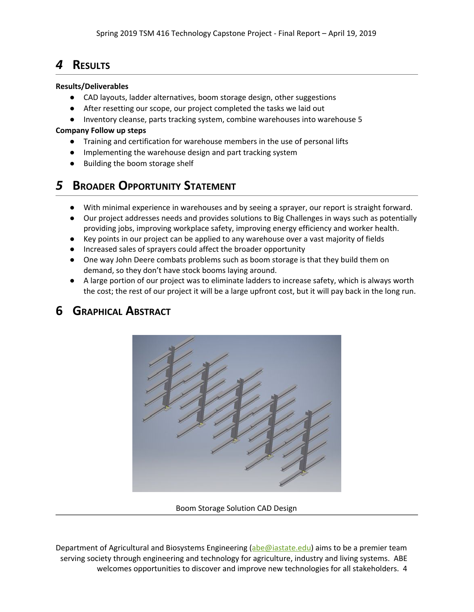# *4* **RESULTS**

#### **Results/Deliverables**

- CAD layouts, ladder alternatives, boom storage design, other suggestions
- After resetting our scope, our project completed the tasks we laid out
- Inventory cleanse, parts tracking system, combine warehouses into warehouse 5

#### **Company Follow up steps**

- Training and certification for warehouse members in the use of personal lifts
- Implementing the warehouse design and part tracking system
- Building the boom storage shelf

# *5* **BROADER OPPORTUNITY STATEMENT**

- With minimal experience in warehouses and by seeing a sprayer, our report is straight forward.
- Our project addresses needs and provides solutions to Big Challenges in ways such as potentially providing jobs, improving workplace safety, improving energy efficiency and worker health.
- Key points in our project can be applied to any warehouse over a vast majority of fields
- Increased sales of sprayers could affect the broader opportunity
- One way John Deere combats problems such as boom storage is that they build them on demand, so they don't have stock booms laying around.
- A large portion of our project was to eliminate ladders to increase safety, which is always worth the cost; the rest of our project it will be a large upfront cost, but it will pay back in the long run.

### **6 GRAPHICAL ABSTRACT**



Boom Storage Solution CAD Design